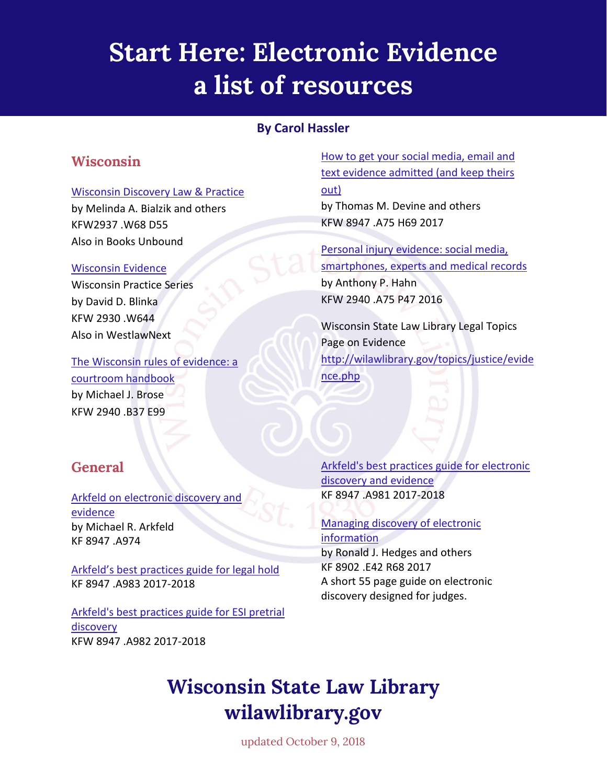# **Start Here: Electronic Evidence a list of resources**

### **By Carol Hassler**

### **Wisconsin**

#### [Wisconsin Discovery Law & Practice](https://wiscl.wsll.state.wi.us/record=b193018)

by Melinda A. Bialzik and others KFW2937 .W68 D55 Also in Books Unbound

#### [Wisconsin Evidence](http://wiscl.wsll.state.wi.us/record=b192654)

Wisconsin Practice Series by David D. Blinka KFW 2930 .W644 Also in WestlawNext

[The Wisconsin rules of evidence: a](http://wiscl.wsll.state.wi.us/record=b192947)  [courtroom handbook](http://wiscl.wsll.state.wi.us/record=b192947) by Michael J. Brose KFW 2940 .B37 E99

### **General**

Arkfeld on electronic discovery and [evidence](http://wiscl.wsll.state.wi.us/record=b182858) by Michael R. Arkfeld KF 8947 .A974

[Arkfeld's best practices guide for legal hold](http://wiscl.wsll.state.wi.us/record=b170872) KF 8947 .A983 2017-2018

[Arkfeld's best practices guide for ESI pretrial](http://wiscl.wsll.state.wi.us/record=b168412)  [discovery](http://wiscl.wsll.state.wi.us/record=b168412) KFW 8947 .A982 2017-2018

[How to get your social media, email and](http://wiscl.wsll.state.wi.us/record=b193499)  [text evidence admitted \(and keep theirs](http://wiscl.wsll.state.wi.us/record=b193499)  [out\)](http://wiscl.wsll.state.wi.us/record=b193499) by Thomas M. Devine and others

KFW 8947 .A75 H69 2017

[Personal injury evidence: social media,](http://wiscl.wsll.state.wi.us/record=b190925)  [smartphones, experts and medical records](http://wiscl.wsll.state.wi.us/record=b190925) by Anthony P. Hahn KFW 2940 .A75 P47 2016

Wisconsin State Law Library Legal Topics Page on Evidence [http://wilawlibrary.gov/topics/justice/evide](http://wilawlibrary.gov/topics/justice/evidence.php) [nce.php](http://wilawlibrary.gov/topics/justice/evidence.php)

[Arkfeld's best practices guide for electronic](http://wiscl.wsll.state.wi.us/record=b162423)  [discovery and evidence](http://wiscl.wsll.state.wi.us/record=b162423) KF 8947 .A981 2017-2018

[Managing discovery of electronic](http://wiscl.wsll.state.wi.us/record=b193021)  [information](http://wiscl.wsll.state.wi.us/record=b193021) by Ronald J. Hedges and others KF 8902 .E42 R68 2017 A short 55 page guide on electronic discovery designed for judges.

## **Wisconsin State Law Library wilawlibrary.gov**

updated October 9, 2018